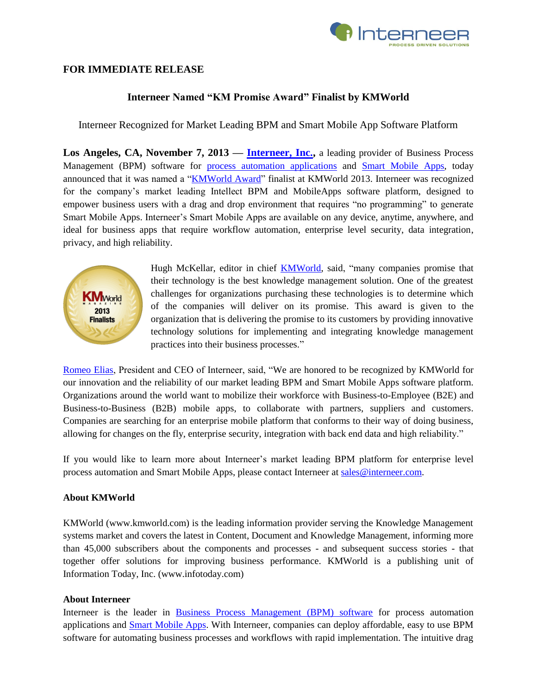

## **FOR IMMEDIATE RELEASE**

# **Interneer Named "KM Promise Award" Finalist by KMWorld**

Interneer Recognized for Market Leading BPM and Smart Mobile App Software Platform

**Los Angeles, CA, November 7, 2013 — [Interneer, Inc.,](http://www.interneer.com/)** a leading provider of Business Process Management (BPM) software for [process automation applications](http://www.interneer.com/hosted-workflow-products-services/intellect-cloud/) and [Smart Mobile Apps,](http://www.interneer.com/intellect-mobileapps/) today announced that it was named a ["KMWorld Award"](http://www.kmworld.com/Articles/Editorial/Features/2013-KMWorld-Promise-and-Reality-award-finalists-92704.aspx) finalist at KMWorld 2013. Interneer was recognized for the company's market leading Intellect BPM and MobileApps software platform, designed to empower business users with a drag and drop environment that requires "no programming" to generate Smart Mobile Apps. Interneer's Smart Mobile Apps are available on any device, anytime, anywhere, and ideal for business apps that require workflow automation, enterprise level security, data integration, privacy, and high reliability.



Hugh McKellar, editor in chief **KMWorld**, said, "many companies promise that their technology is the best knowledge management solution. One of the greatest challenges for organizations purchasing these technologies is to determine which of the companies will deliver on its promise. This award is given to the organization that is delivering the promise to its customers by providing innovative technology solutions for implementing and integrating knowledge management practices into their business processes."

[Romeo Elias,](http://www.interneer.com/workflow-business-process-management-software-about-us/our-team/) President and CEO of Interneer, said, "We are honored to be recognized by KMWorld for our innovation and the reliability of our market leading BPM and Smart Mobile Apps software platform. Organizations around the world want to mobilize their workforce with Business-to-Employee (B2E) and Business-to-Business (B2B) mobile apps, to collaborate with partners, suppliers and customers. Companies are searching for an enterprise mobile platform that conforms to their way of doing business, allowing for changes on the fly, enterprise security, integration with back end data and high reliability."

If you would like to learn more about Interneer's market leading BPM platform for enterprise level process automation and Smart Mobile Apps, please contact Interneer at [sales@interneer.com.](mailto:sales@interneer.com)

#### **About KMWorld**

KMWorld (www.kmworld.com) is the leading information provider serving the Knowledge Management systems market and covers the latest in Content, Document and Knowledge Management, informing more than 45,000 subscribers about the components and processes - and subsequent success stories - that together offer solutions for improving business performance. KMWorld is a publishing unit of Information Today, Inc. (www.infotoday.com)

#### **About Interneer**

Interneer is the leader in [Business Process Management \(BPM\) software](http://www.interneer.com/hosted-workflow-products-services/intellect-cloud/) for process automation applications and [Smart Mobile Apps.](http://www.interneer.com/interneer-mobileapps-landing?&t=12065&hsCtaTracking=53ce3391-8634-45f2-838a-076427abc0b0%7C5223697e-fd71-4494-a18c-27db66340cc6) With Interneer, companies can deploy affordable, easy to use BPM software for automating business processes and workflows with rapid implementation. The intuitive drag